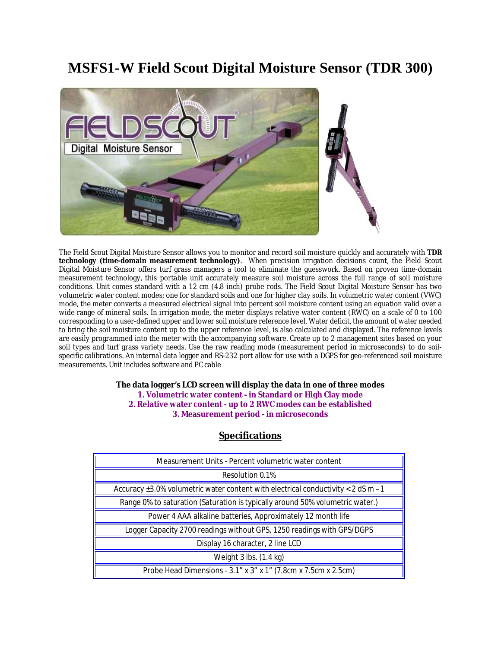## **MSFS1-W Field Scout Digital Moisture Sensor (TDR 300)**



The Field Scout Digital Moisture Sensor allows you to monitor and record soil moisture quickly and accurately with **TDR technology (time-domain measurement technology)**. When precision irrigation decisions count, the Field Scout Digital Moisture Sensor offers turf grass managers a tool to eliminate the guesswork. Based on proven time-domain measurement technology, this portable unit accurately measure soil moisture across the full range of soil moisture conditions. Unit comes standard with a 12 cm (4.8 inch) probe rods. The Field Scout Digital Moisture Sensor has two volumetric water content modes; one for standard soils and one for higher clay soils. In volumetric water content (VWC) mode, the meter converts a measured electrical signal into percent soil moisture content using an equation valid over a wide range of mineral soils. In irrigation mode, the meter displays relative water content (RWC) on a scale of 0 to 100 corresponding to a user-defined upper and lower soil moisture reference level. Water deficit, the amount of water needed to bring the soil moisture content up to the upper reference level, is also calculated and displayed. The reference levels are easily programmed into the meter with the accompanying software. Create up to 2 management sites based on your soil types and turf grass variety needs. Use the raw reading mode (measurement period in microseconds) to do soilspecific calibrations. An internal data logger and RS-232 port allow for use with a DGPS for geo-referenced soil moisture measurements. Unit includes software and PC cable

## **The data logger's LCD screen will display the data in one of three modes 1. Volumetric water content - in Standard or High Clay mode 2. Relative water content - up to 2 RWC modes can be established 3. Measurement period - in microseconds**

| Measurement Units - Percent volumetric water content                                   |  |
|----------------------------------------------------------------------------------------|--|
| Resolution 0.1%                                                                        |  |
| Accuracy $\pm 3.0\%$ volumetric water content with electrical conductivity < 2 dS m -1 |  |
| Range 0% to saturation (Saturation is typically around 50% volumetric water.)          |  |
| Power 4 AAA alkaline batteries, Approximately 12 month life                            |  |
| Logger Capacity 2700 readings without GPS, 1250 readings with GPS/DGPS                 |  |
| Display 16 character, 2 line LCD                                                       |  |
| Weight $3$ lbs. $(1.4 \text{ kg})$                                                     |  |
| Probe Head Dimensions - 3.1" x 3" x 1" (7.8cm x 7.5cm x 2.5cm)                         |  |

## **Specifications**